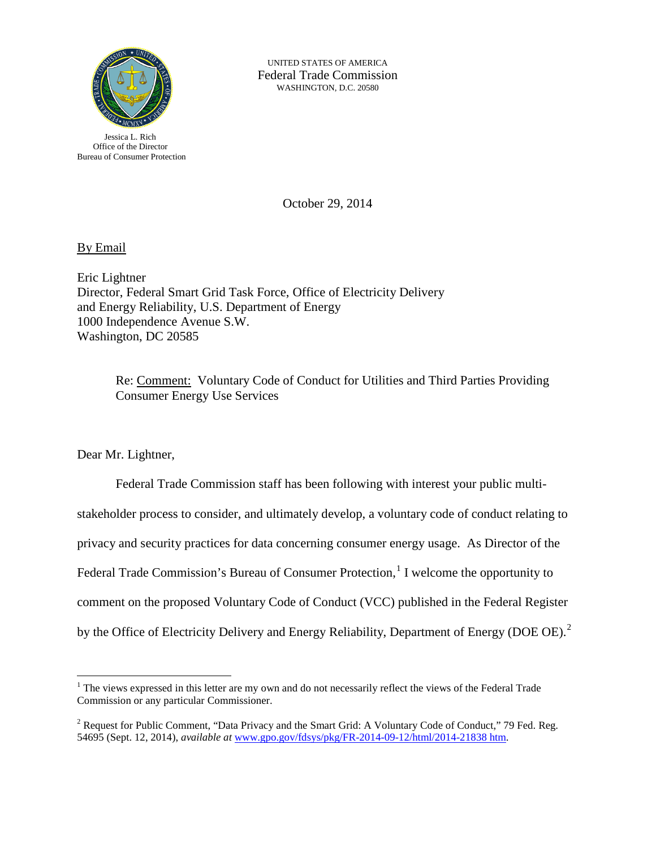

UNITED STATES OF AMERICA Federal Trade Commission WASHINGTON, D.C. 20580

Jessica L. Rich Office of the Director Bureau of Consumer Protection

October 29, 2014

By Email

Eric Lightner Director, Federal Smart Grid Task Force, Office of Electricity Delivery and Energy Reliability, U.S. Department of Energy 1000 Independence Avenue S.W. Washington, DC 20585

> Re: Comment: Voluntary Code of Conduct for Utilities and Third Parties Providing Consumer Energy Use Services

Dear Mr. Lightner,

 $\overline{a}$ 

Federal Trade Commission staff has been following with interest your public multistakeholder process to consider, and ultimately develop, a voluntary code of conduct relating to privacy and security practices for data concerning consumer energy usage. As Director of the Federal Trade Commission's Bureau of Consumer Protection,<sup>[1](#page-0-0)</sup> I welcome the opportunity to comment on the proposed Voluntary Code of Conduct (VCC) published in the Federal Register by the Office of Electricity Delivery and Energy Reliability, Department of Energy (DOE OE).<sup>[2](#page-0-1)</sup>

<span id="page-0-0"></span><sup>&</sup>lt;sup>1</sup> The views expressed in this letter are my own and do not necessarily reflect the views of the Federal Trade Commission or any particular Commissioner.

<span id="page-0-1"></span><sup>&</sup>lt;sup>2</sup> Request for Public Comment, "Data Privacy and the Smart Grid: A Voluntary Code of Conduct," 79 Fed. Reg. 54695 (Sept. 12, 2014), *available at* [www.gpo.gov/fdsys/pkg/FR-2014-09-12/html/2014-21838 htm.](http://www.gpo.gov/fdsys/pkg/FR-2014-09-12/html/2014-21838.htm)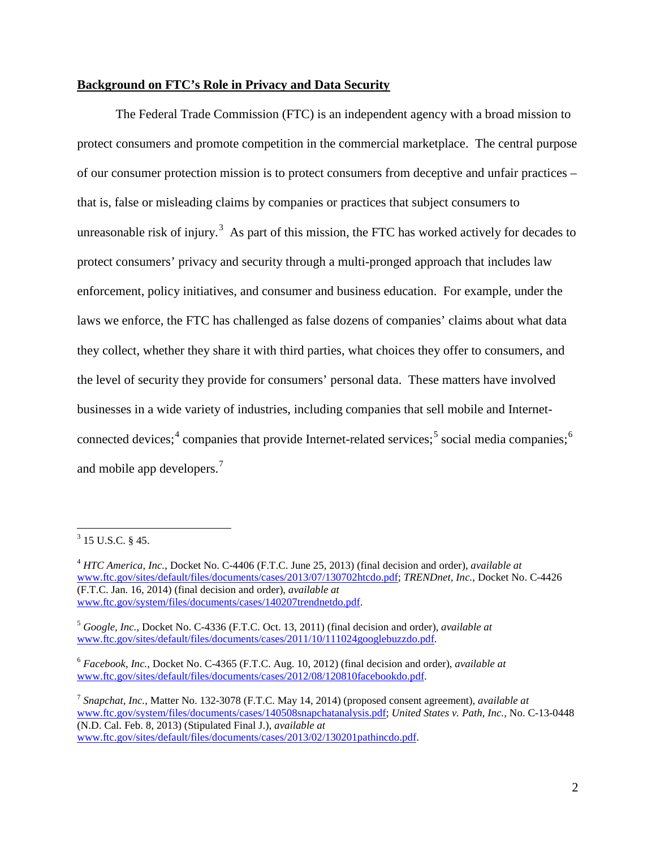## **Background on FTC's Role in Privacy and Data Security**

The Federal Trade Commission (FTC) is an independent agency with a broad mission to protect consumers and promote competition in the commercial marketplace. The central purpose of our consumer protection mission is to protect consumers from deceptive and unfair practices – that is, false or misleading claims by companies or practices that subject consumers to unreasonable risk of injury.<sup>[3](#page-1-0)</sup> As part of this mission, the FTC has worked actively for decades to protect consumers' privacy and security through a multi-pronged approach that includes law enforcement, policy initiatives, and consumer and business education. For example, under the laws we enforce, the FTC has challenged as false dozens of companies' claims about what data they collect, whether they share it with third parties, what choices they offer to consumers, and the level of security they provide for consumers' personal data. These matters have involved businesses in a wide variety of industries, including companies that sell mobile and Internet-connected devices;<sup>[4](#page-1-1)</sup> companies that provide Internet-related services;<sup>[5](#page-1-2)</sup> social media companies;<sup>[6](#page-1-3)</sup> and mobile app developers.<sup>[7](#page-1-4)</sup>

<span id="page-1-0"></span> $3$  15 U.S.C. § 45.

<span id="page-1-1"></span><sup>4</sup> *HTC America, Inc.*, Docket No. C-4406 (F.T.C. June 25, 2013) (final decision and order), *available at* [www.ftc.gov/sites/default/files/documents/cases/2013/07/130702htcdo.pdf;](http://www.ftc.gov/sites/default/files/documents/cases/2013/07/130702htcdo.pdf) *TRENDnet, Inc.*, Docket No. C-4426 (F.T.C. Jan. 16, 2014) (final decision and order), *available at* [www.ftc.gov/system/files/documents/cases/140207trendnetdo.pdf.](http://www.ftc.gov/system/files/documents/cases/140207trendnetdo.pdf)

<span id="page-1-2"></span><sup>5</sup> *Google, Inc.,* Docket No. C-4336 (F.T.C. Oct. 13, 2011) (final decision and order), *available at* [www.ftc.gov/sites/default/files/documents/cases/2011/10/111024googlebuzzdo.pdf.](http://www.ftc.gov/sites/default/files/documents/cases/2011/10/111024googlebuzzdo.pdf) 

<span id="page-1-3"></span><sup>6</sup> *Facebook, Inc.*, Docket No. C-4365 (F.T.C. Aug. 10, 2012) (final decision and order), *available at* [www.ftc.gov/sites/default/files/documents/cases/2012/08/120810facebookdo.pdf.](http://www.ftc.gov/sites/default/files/documents/cases/2012/08/120810facebookdo.pdf)

<span id="page-1-4"></span><sup>7</sup> *Snapchat, Inc.*, Matter No. 132-3078 (F.T.C. May 14, 2014) (proposed consent agreement), *available at* [www.ftc.gov/system/files/documents/cases/140508snapchatanalysis.pdf;](http://www.ftc.gov/system/files/documents/cases/140508snapchatanalysis.pdf) *United States v. Path, Inc.,* No. C-13-0448 (N.D. Cal. Feb. 8, 2013) (Stipulated Final J.), *available at* [www.ftc.gov/sites/default/files/documents/cases/2013/02/130201pathincdo.pdf.](http://www.ftc.gov/sites/default/files/documents/cases/2013/02/130201pathincdo.pdf)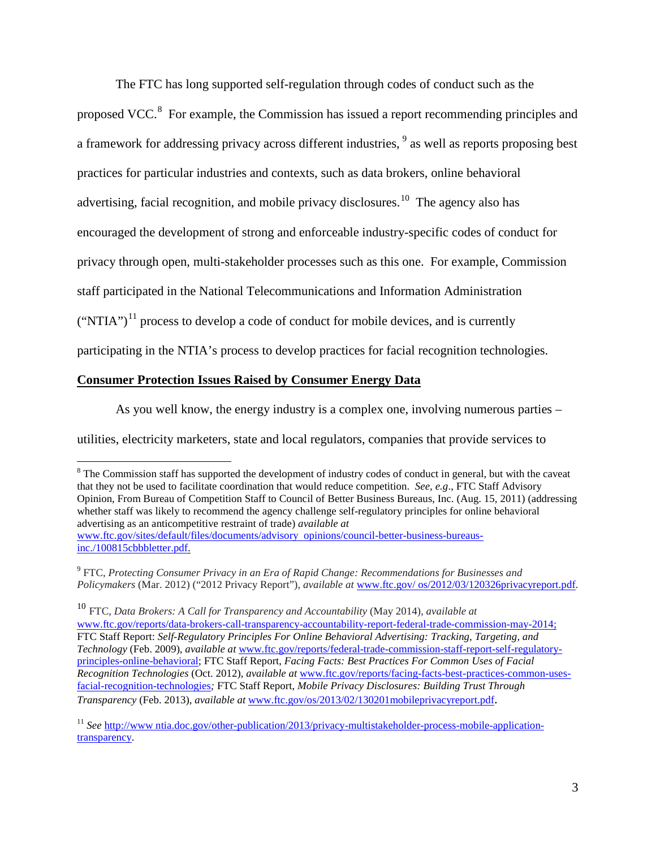The FTC has long supported self-regulation through codes of conduct such as the

proposed VCC.<sup>[8](#page-2-0)</sup> For example, the Commission has issued a report recommending principles and a framework for addressing privacy across different industries, <sup>[9](#page-2-1)</sup> as well as reports proposing best practices for particular industries and contexts, such as data brokers, online behavioral advertising, facial recognition, and mobile privacy disclosures.<sup>[10](#page-2-2)</sup> The agency also has encouraged the development of strong and enforceable industry-specific codes of conduct for privacy through open, multi-stakeholder processes such as this one. For example, Commission staff participated in the National Telecommunications and Information Administration  $("NTIA")<sup>11</sup>$  process to develop a code of conduct for mobile devices, and is currently participating in the NTIA's process to develop practices for facial recognition technologies.

## **Consumer Protection Issues Raised by Consumer Energy Data**

As you well know, the energy industry is a complex one, involving numerous parties –

utilities, electricity marketers, state and local regulators, companies that provide services to

<span id="page-2-0"></span> $\overline{a}$ <sup>8</sup> The Commission staff has supported the development of industry codes of conduct in general, but with the caveat that they not be used to facilitate coordination that would reduce competition. *See, e.g*., FTC Staff Advisory Opinion, From Bureau of Competition Staff to Council of Better Business Bureaus, Inc. (Aug. 15, 2011) (addressing whether staff was likely to recommend the agency challenge self-regulatory principles for online behavioral advertising as an anticompetitive restraint of trade) *available at* [www.ftc.gov/sites/default/files/documents/advisory opinions/council-better-business-bureaus](http://www.ftc.gov/sites/default/files/documents/advisory_opinions/council-better-business-bureaus-inc./100815cbbbletter.pdf)[inc./100815cbbbletter.pdf.](http://www.ftc.gov/sites/default/files/documents/advisory_opinions/council-better-business-bureaus-inc./100815cbbbletter.pdf) 

<span id="page-2-1"></span><sup>9</sup> FTC, *Protecting Consumer Privacy in an Era of Rapid Change: Recommendations for Businesses and Policymakers* (Mar. 2012) ("2012 Privacy Report"), *available at* [www.ftc.gov/ os/2012/03/120326privacyreport.pdf.](http://www.ftc.gov/%20os/2012/03/120326privacyreport.pdf) 

<span id="page-2-2"></span><sup>10</sup> FTC, *Data Brokers: A Call for Transparency and Accountability* (May 2014), *available at* [www.ftc.gov/reports/data-brokers-call-transparency-accountability-report-federal-trade-commission-may-2014;](http://www.ftc.gov/reports/data-brokers-call-transparency-accountability-report-federal-trade-commission-may-2014) FTC Staff Report: *Self-Regulatory Principles For Online Behavioral Advertising: Tracking, Targeting, and Technology* (Feb. 2009), *available at* [www.ftc.gov/reports/federal-trade-commission-staff-report-self-regulatory](http://www.ftc.gov/reports/federal-trade-commission-staff-report-self-regulatory-principles-online-behavioral)[principles-online-behavioral;](http://www.ftc.gov/reports/federal-trade-commission-staff-report-self-regulatory-principles-online-behavioral) FTC Staff Report, *Facing Facts: Best Practices For Common Uses of Facial Recognition Technologies* (Oct. 2012), *available at* [www.ftc.gov/reports/facing-facts-best-practices-common-uses](http://www.ftc.gov/reports/facing-facts-best-practices-common-uses-facial-recognition-technologies)[facial-recognition-technologies](http://www.ftc.gov/reports/facing-facts-best-practices-common-uses-facial-recognition-technologies)*;* FTC Staff Report, *Mobile Privacy Disclosures: Building Trust Through Transparency* (Feb. 2013), *available at* [www.ftc.gov/os/2013/02/130201mobileprivacyreport.pdf.](http://www.ftc.gov/os/2013/02/130201mobileprivacyreport.pdf)

<span id="page-2-3"></span><sup>&</sup>lt;sup>11</sup> *See* http://www.ntia.doc.gov/other-publication/2013/privacy-multistakeholder-process-mobile-application[transparency.](http://www.ntia.doc.gov/other-publication/2013/privacy-multistakeholder-process-mobile-application-transparency)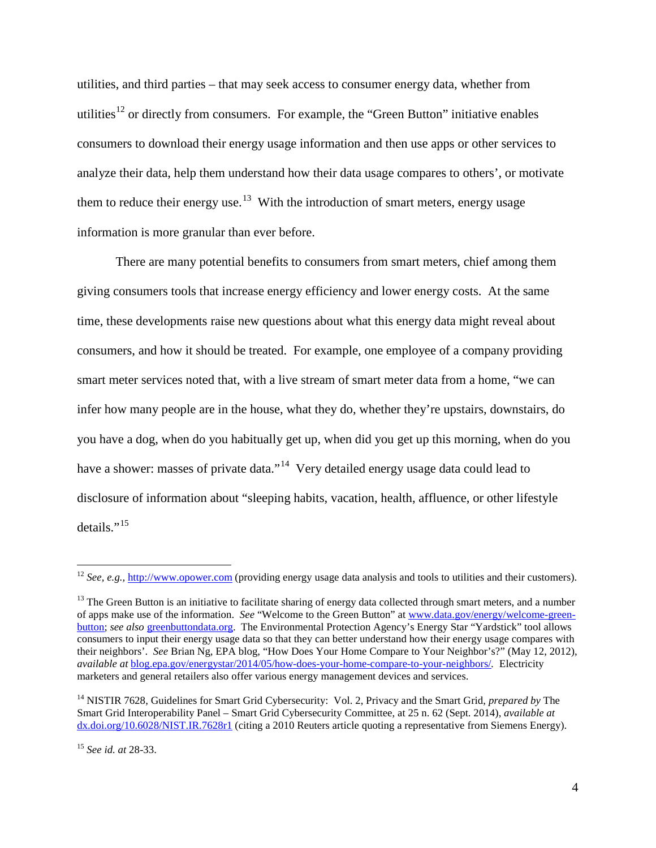utilities, and third parties – that may seek access to consumer energy data, whether from utilities<sup>[12](#page-3-0)</sup> or directly from consumers. For example, the "Green Button" initiative enables consumers to download their energy usage information and then use apps or other services to analyze their data, help them understand how their data usage compares to others', or motivate them to reduce their energy use.<sup>13</sup> With the introduction of smart meters, energy usage information is more granular than ever before.

There are many potential benefits to consumers from smart meters, chief among them giving consumers tools that increase energy efficiency and lower energy costs. At the same time, these developments raise new questions about what this energy data might reveal about consumers, and how it should be treated. For example, one employee of a company providing smart meter services noted that, with a live stream of smart meter data from a home, "we can infer how many people are in the house, what they do, whether they're upstairs, downstairs, do you have a dog, when do you habitually get up, when did you get up this morning, when do you have a shower: masses of private data."<sup>[14](#page-3-2)</sup> Very detailed energy usage data could lead to disclosure of information about "sleeping habits, vacation, health, affluence, or other lifestyle details." $^{15}$  $^{15}$  $^{15}$ 

<span id="page-3-0"></span><sup>&</sup>lt;sup>12</sup> *See, e.g.,* [http://www.opower.com](http://www.opower.com/) (providing energy usage data analysis and tools to utilities and their customers).

<span id="page-3-1"></span> $<sup>13</sup>$  The Green Button is an initiative to facilitate sharing of energy data collected through smart meters, and a number</sup> of apps make use of the information. *See* "Welcome to the Green Button" at [www.data.gov/energy/welcome-green](http://www.data.gov/energy/welcome-green-button)[button;](http://www.data.gov/energy/welcome-green-button) *see also* [greenbuttondata.org.](http://greenbuttondata.org/) The Environmental Protection Agency's Energy Star "Yardstick" tool allows consumers to input their energy usage data so that they can better understand how their energy usage compares with their neighbors'. *See* Brian Ng, EPA blog, "How Does Your Home Compare to Your Neighbor's?" (May 12, 2012), *available at* [blog.epa.gov/energystar/2014/05/how-does-your-home-compare-to-your-neighbors/](http://blog.epa.gov/energystar/2014/05/how-does-your-home-compare-to-your-neighbors/)*.* Electricity marketers and general retailers also offer various energy management devices and services.

<span id="page-3-2"></span><sup>14</sup> NISTIR 7628, Guidelines for Smart Grid Cybersecurity: Vol. 2, Privacy and the Smart Grid, *prepared by* The Smart Grid Interoperability Panel – Smart Grid Cybersecurity Committee, at 25 n. 62 (Sept. 2014), *available at* dx.doi.org/10.6028/NIST.IR.7628r1 (citing a 2010 Reuters article quoting a representative from Siemens Energy).

<span id="page-3-3"></span><sup>15</sup> *See id. at* 28-33.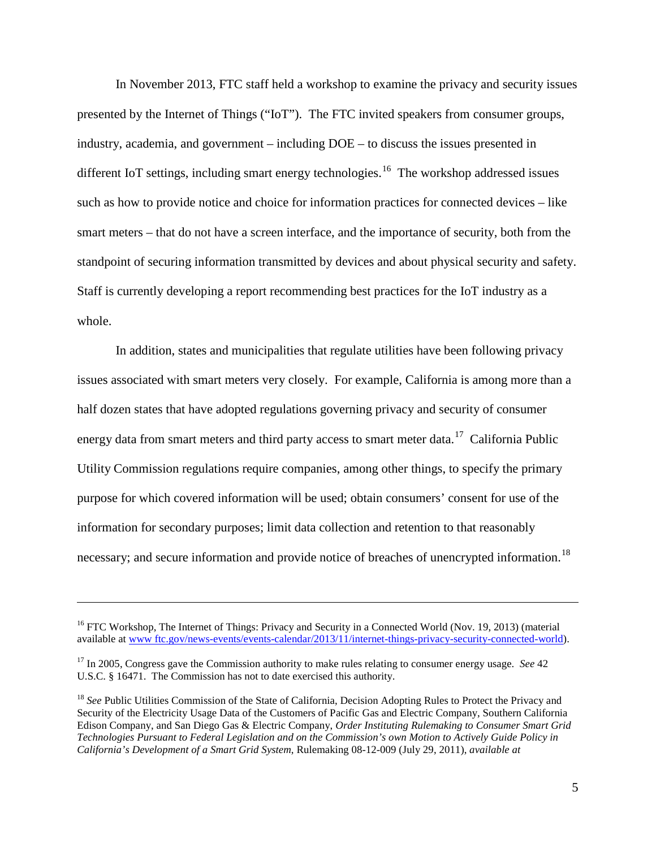In November 2013, FTC staff held a workshop to examine the privacy and security issues presented by the Internet of Things ("IoT"). The FTC invited speakers from consumer groups, industry, academia, and government – including DOE – to discuss the issues presented in different IoT settings, including smart energy technologies.<sup>[16](#page-4-0)</sup> The workshop addressed issues such as how to provide notice and choice for information practices for connected devices – like smart meters – that do not have a screen interface, and the importance of security, both from the standpoint of securing information transmitted by devices and about physical security and safety. Staff is currently developing a report recommending best practices for the IoT industry as a whole.

In addition, states and municipalities that regulate utilities have been following privacy issues associated with smart meters very closely. For example, California is among more than a half dozen states that have adopted regulations governing privacy and security of consumer energy data from smart meters and third party access to smart meter data.<sup>17</sup> California Public Utility Commission regulations require companies, among other things, to specify the primary purpose for which covered information will be used; obtain consumers' consent for use of the information for secondary purposes; limit data collection and retention to that reasonably necessary; and secure information and provide notice of breaches of unencrypted information.<sup>[18](#page-4-2)</sup>

 $\overline{a}$ 

<span id="page-4-0"></span><sup>&</sup>lt;sup>16</sup> FTC Workshop, The Internet of Things: Privacy and Security in a Connected World (Nov. 19, 2013) (material available at [www ftc.gov/news-events/events-calendar/2013/11/internet-things-privacy-security-connected-world\)](http://www.ftc.gov/news-events/events-calendar/2013/11/internet-things-privacy-security-connected-world).

<span id="page-4-1"></span><sup>17</sup> In 2005, Congress gave the Commission authority to make rules relating to consumer energy usage. *See* 42 U.S.C. § 16471. The Commission has not to date exercised this authority.

<span id="page-4-2"></span><sup>18</sup> *See* Public Utilities Commission of the State of California, Decision Adopting Rules to Protect the Privacy and Security of the Electricity Usage Data of the Customers of Pacific Gas and Electric Company, Southern California Edison Company, and San Diego Gas & Electric Company, *Order Instituting Rulemaking to Consumer Smart Grid Technologies Pursuant to Federal Legislation and on the Commission's own Motion to Actively Guide Policy in California's Development of a Smart Grid System*, Rulemaking 08-12-009 (July 29, 2011), *available at*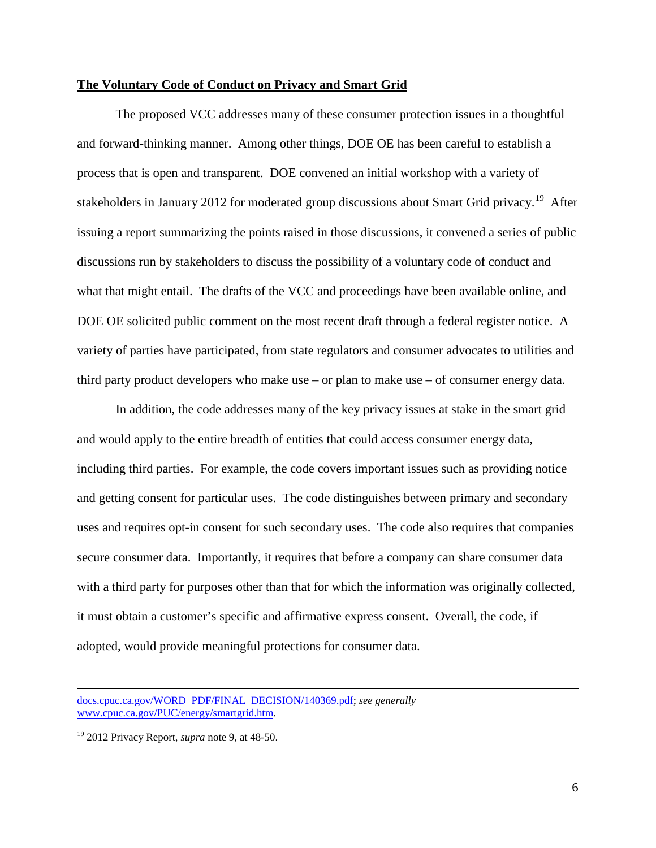## **The Voluntary Code of Conduct on Privacy and Smart Grid**

The proposed VCC addresses many of these consumer protection issues in a thoughtful and forward-thinking manner. Among other things, DOE OE has been careful to establish a process that is open and transparent. DOE convened an initial workshop with a variety of stakeholders in January 2012 for moderated group discussions about Smart Grid privacy.<sup>19</sup> After issuing a report summarizing the points raised in those discussions, it convened a series of public discussions run by stakeholders to discuss the possibility of a voluntary code of conduct and what that might entail. The drafts of the VCC and proceedings have been available online, and DOE OE solicited public comment on the most recent draft through a federal register notice. A variety of parties have participated, from state regulators and consumer advocates to utilities and third party product developers who make use – or plan to make use – of consumer energy data.

In addition, the code addresses many of the key privacy issues at stake in the smart grid and would apply to the entire breadth of entities that could access consumer energy data, including third parties. For example, the code covers important issues such as providing notice and getting consent for particular uses. The code distinguishes between primary and secondary uses and requires opt-in consent for such secondary uses. The code also requires that companies secure consumer data. Importantly, it requires that before a company can share consumer data with a third party for purposes other than that for which the information was originally collected, it must obtain a customer's specific and affirmative express consent. Overall, the code, if adopted, would provide meaningful protections for consumer data.

[docs.cpuc.ca.gov/WORD PDF/FINAL DECISION/140369.pdf;](http://docs.cpuc.ca.gov/WORD_PDF/FINAL_DECISION/140369.pdf) *see generally*  [www.cpuc.ca.gov/PUC/energy/smartgrid.htm.](http://www.cpuc.ca.gov/PUC/energy/smartgrid.htm) 

<span id="page-5-0"></span><sup>19</sup> 2012 Privacy Report, *supra* note 9, at 48-50.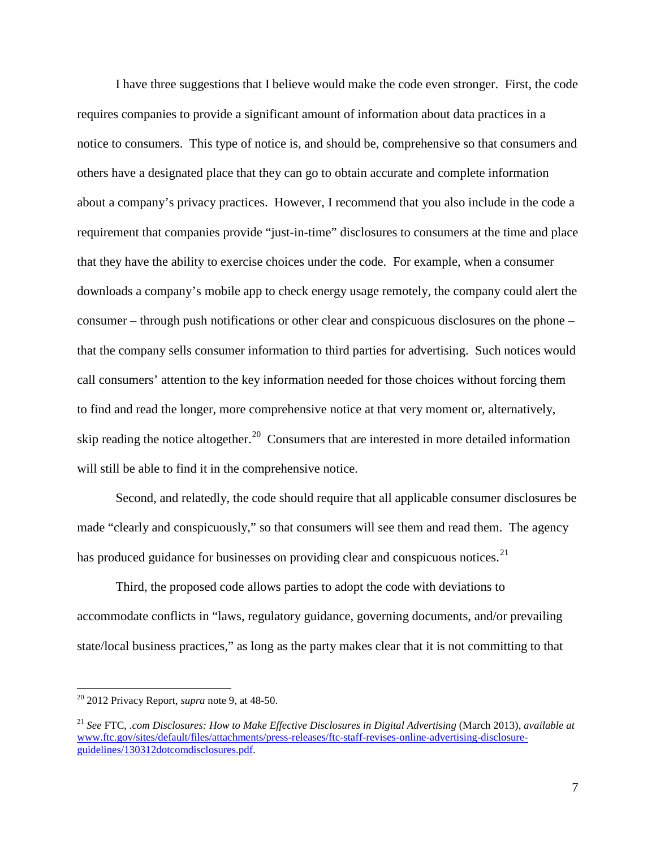I have three suggestions that I believe would make the code even stronger. First, the code requires companies to provide a significant amount of information about data practices in a notice to consumers. This type of notice is, and should be, comprehensive so that consumers and others have a designated place that they can go to obtain accurate and complete information about a company's privacy practices. However, I recommend that you also include in the code a requirement that companies provide "just-in-time" disclosures to consumers at the time and place that they have the ability to exercise choices under the code. For example, when a consumer downloads a company's mobile app to check energy usage remotely, the company could alert the consumer – through push notifications or other clear and conspicuous disclosures on the phone – that the company sells consumer information to third parties for advertising. Such notices would call consumers' attention to the key information needed for those choices without forcing them to find and read the longer, more comprehensive notice at that very moment or, alternatively, skip reading the notice altogether.<sup>20</sup> Consumers that are interested in more detailed information will still be able to find it in the comprehensive notice.

Second, and relatedly, the code should require that all applicable consumer disclosures be made "clearly and conspicuously," so that consumers will see them and read them. The agency has produced guidance for businesses on providing clear and conspicuous notices.<sup>[21](#page-6-1)</sup>

Third, the proposed code allows parties to adopt the code with deviations to accommodate conflicts in "laws, regulatory guidance, governing documents, and/or prevailing state/local business practices," as long as the party makes clear that it is not committing to that

<span id="page-6-0"></span> <sup>20</sup> 2012 Privacy Report, *supra* note 9, at 48-50.

<span id="page-6-1"></span><sup>21</sup> *See* FTC, *.com Disclosures: How to Make Effective Disclosures in Digital Advertising* (March 2013), *available at*  [www.ftc.gov/sites/default/files/attachments/press-releases/ftc-staff-revises-online-advertising-disclosure](http://www.ftc.gov/sites/default/files/attachments/press-releases/ftc-staff-revises-online-advertising-disclosure-guidelines/130312dotcomdisclosures.pdf)[guidelines/130312dotcomdisclosures.pdf.](http://www.ftc.gov/sites/default/files/attachments/press-releases/ftc-staff-revises-online-advertising-disclosure-guidelines/130312dotcomdisclosures.pdf)